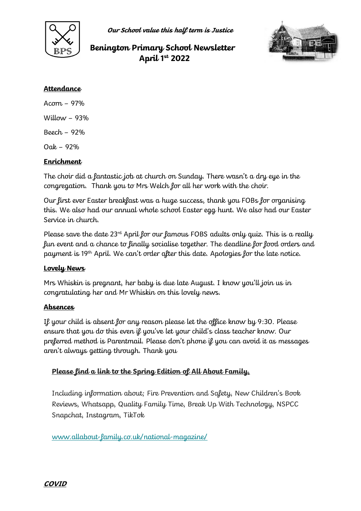

**Our School value this half term is Justice**

# **Benington Primary School Newsletter April 1st 2022**



### **Attendance**

Acorn – 97% Willow  $-93%$ Beech – 92%  $Oak - 92%$ 

# **Enrichment**

The choir did a fantastic job at church on Sunday. There wasn't a dry eye in the congregation. Thank you to Mrs Welch for all her work with the choir.

Our first ever Easter breakfast was a huge success, thank you FOBs for organising this. We also had our annual whole school Easter egg hunt. We also had our Easter Service in church.

Please save the date  $23<sup>rd</sup>$  April for our famous FOBS adults only quiz. This is a really fun event and a chance to finally socialise together. The deadline for food orders and payment is 19th April. We can't order after this date. Apologies for the late notice.

#### **Lovely News**

Mrs Whiskin is pregnant, her baby is due late August. I know you'll join us in congratulating her and Mr Whiskin on this lovely news.

#### **Absences**

If your child is absent for any reason please let the office know by 9:30. Please ensure that you do this even if you've let your child's class teacher know. Our preferred method is Parentmail. Please don't phone if you can avoid it as messages aren't always getting through. Thank you

# **Please find a link to the Spring Edition of All About Family,**

Including information about; Fire Prevention and Safety, New Children's Book Reviews, Whatsapp, Quality Family Time, Break Up With Technology, NSPCC Snapchat, Instagram, TikTok

[www.allabout-family.co.uk/national-magazine/](https://allabout-family.us20.list-manage.com/track/click?u=44027d11acc10a6662436c19d&id=47c5bc0564&e=4a17e8fce1)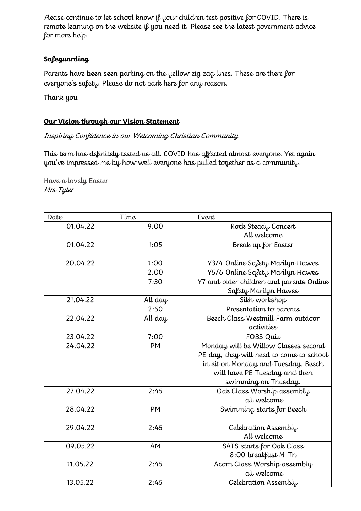Please continue to let school know if your children test positive for COVID. There is remote learning on the website if you need it. Please see the latest government advice for more help.

# **Safeguarding**

Parents have been seen parking on the yellow zig zag lines. These are there for everyone's safety. Please do not park here for any reason.

Thank you

# **Our Vision through our Vision Statement**

# Inspiring Confidence in our Welcoming Christian Community

This term has definitely tested us all. COVID has affected almost everyone. Yet again you've impressed me by how well everyone has pulled together as a community.

Have a lovely Easter Mrs Tyler

| Date     | Time      | Event                                    |
|----------|-----------|------------------------------------------|
| 01.04.22 | 9:00      | Rock Steady Concert                      |
|          |           | All welcome                              |
| 01.04.22 | 1:05      | Break up for Easter                      |
|          |           |                                          |
| 20.04.22 | 1:00      | Y3/4 Online Safety Marilyn Hawes         |
|          | 2:00      | Y5/6 Online Safety Marilyn Hawes         |
|          | 7:30      | Y7 and older children and parents Online |
|          |           | Safety Marilyn Hawes                     |
| 21.04.22 | All day   | Sikh workshop                            |
|          | 2:50      | Presentation to parents                  |
| 22.04.22 | All day   | Beech Class Westmill Farm outdoor        |
|          |           | activities                               |
| 23.04.22 | 7:00      | FOBS Quiz                                |
| 24.04.22 | <b>PM</b> | Monday will be Willow Classes second     |
|          |           | PE day, they will need to come to school |
|          |           | in kit on Monday and Tuesday. Beech      |
|          |           | will have PE Tuesday and then            |
|          |           | swimming on Thusday.                     |
| 27.04.22 | 2:45      | Oak Class Worship assembly               |
|          |           | all welcome                              |
| 28.04.22 | PM        | Swimming starts for Beech                |
|          |           |                                          |
| 29.04.22 | 2:45      | Celebration Assembly                     |
|          |           | All welcome                              |
| 09.05.22 | AM        | SATS starts for Oak Class                |
|          |           | 8:00 breakfast M-Th                      |
| 11.05.22 | 2:45      | Acorn Class Worship assembly             |
|          |           | all welcome                              |
| 13.05.22 | 2:45      | Celebration Assembly                     |